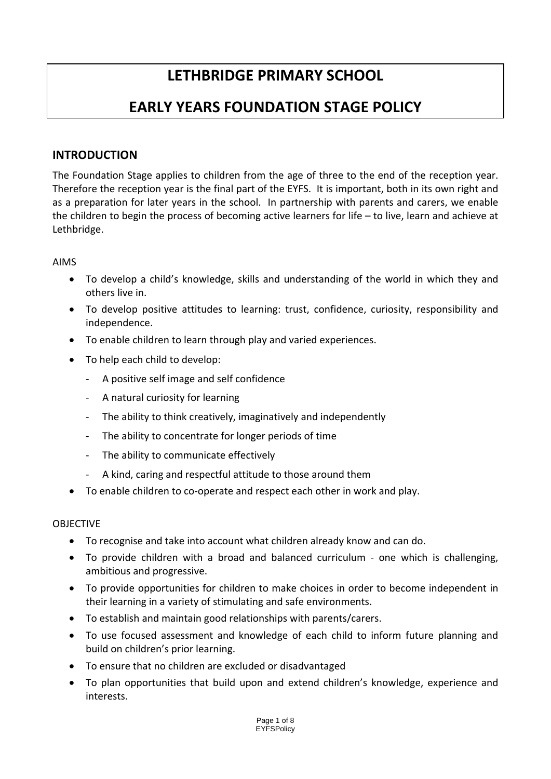# **LETHBRIDGE PRIMARY SCHOOL**

# **EARLY YEARS FOUNDATION STAGE POLICY**

# **INTRODUCTION**

The Foundation Stage applies to children from the age of three to the end of the reception year. Therefore the reception year is the final part of the EYFS. It is important, both in its own right and as a preparation for later years in the school. In partnership with parents and carers, we enable the children to begin the process of becoming active learners for life – to live, learn and achieve at Lethbridge.

#### AIMS

- To develop a child's knowledge, skills and understanding of the world in which they and others live in.
- To develop positive attitudes to learning: trust, confidence, curiosity, responsibility and independence.
- To enable children to learn through play and varied experiences.
- To help each child to develop:
	- ‐ A positive self image and self confidence
	- ‐ A natural curiosity for learning
	- ‐ The ability to think creatively, imaginatively and independently
	- ‐ The ability to concentrate for longer periods of time
	- The ability to communicate effectively
	- ‐ A kind, caring and respectful attitude to those around them
- To enable children to co-operate and respect each other in work and play.

#### **OBJECTIVE**

- To recognise and take into account what children already know and can do.
- To provide children with a broad and balanced curriculum one which is challenging, ambitious and progressive.
- To provide opportunities for children to make choices in order to become independent in their learning in a variety of stimulating and safe environments.
- To establish and maintain good relationships with parents/carers.
- To use focused assessment and knowledge of each child to inform future planning and build on children's prior learning.
- To ensure that no children are excluded or disadvantaged
- To plan opportunities that build upon and extend children's knowledge, experience and interests.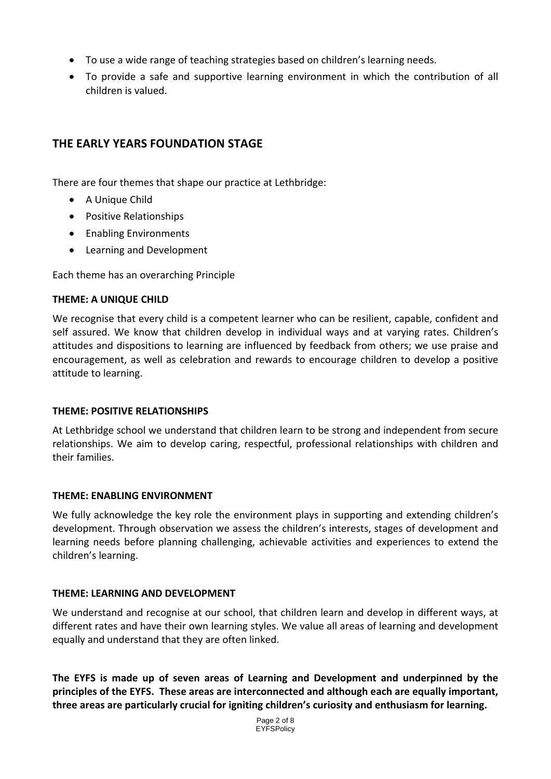- To use a wide range of teaching strategies based on children's learning needs.
- To provide a safe and supportive learning environment in which the contribution of all children is valued.

# **THE EARLY YEARS FOUNDATION STAGE**

There are four themes that shape our practice at Lethbridge:

- A Unique Child
- Positive Relationships
- Enabling Environments
- Learning and Development

Each theme has an overarching Principle

#### **THEME: A UNIQUE CHILD**

We recognise that every child is a competent learner who can be resilient, capable, confident and self assured. We know that children develop in individual ways and at varying rates. Children's attitudes and dispositions to learning are influenced by feedback from others; we use praise and encouragement, as well as celebration and rewards to encourage children to develop a positive attitude to learning.

#### **THEME: POSITIVE RELATIONSHIPS**

At Lethbridge school we understand that children learn to be strong and independent from secure relationships. We aim to develop caring, respectful, professional relationships with children and their families.

#### **THEME: ENABLING ENVIRONMENT**

We fully acknowledge the key role the environment plays in supporting and extending children's development. Through observation we assess the children's interests, stages of development and learning needs before planning challenging, achievable activities and experiences to extend the children's learning.

#### **THEME: LEARNING AND DEVELOPMENT**

We understand and recognise at our school, that children learn and develop in different ways, at different rates and have their own learning styles. We value all areas of learning and development equally and understand that they are often linked.

**The EYFS is made up of seven areas of Learning and Development and underpinned by the principles of the EYFS. These areas are interconnected and although each are equally important, three areas are particularly crucial for igniting children's curiosity and enthusiasm for learning.** 

> Page 2 of 8 **EYFSPolicy**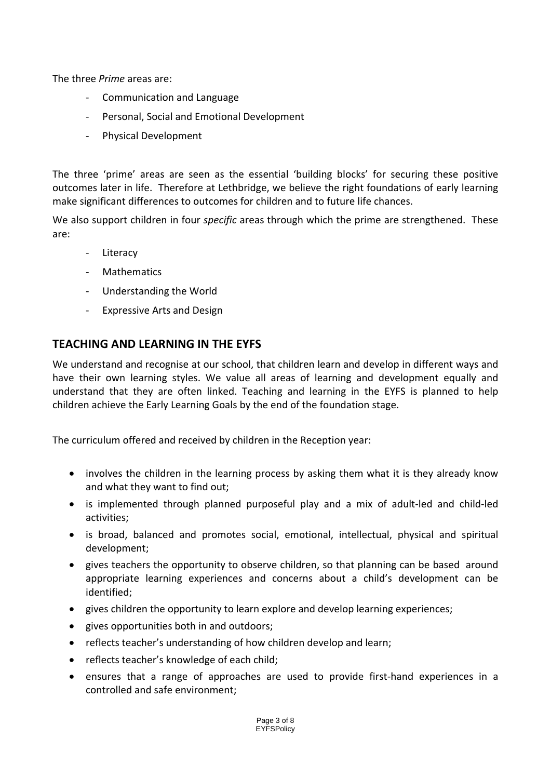The three *Prime* areas are:

- ‐ Communication and Language
- ‐ Personal, Social and Emotional Development
- ‐ Physical Development

The three 'prime' areas are seen as the essential 'building blocks' for securing these positive outcomes later in life. Therefore at Lethbridge, we believe the right foundations of early learning make significant differences to outcomes for children and to future life chances.

We also support children in four *specific* areas through which the prime are strengthened. These are:

- ‐ Literacy
- **Mathematics**
- ‐ Understanding the World
- ‐ Expressive Arts and Design

## **TEACHING AND LEARNING IN THE EYFS**

We understand and recognise at our school, that children learn and develop in different ways and have their own learning styles. We value all areas of learning and development equally and understand that they are often linked. Teaching and learning in the EYFS is planned to help children achieve the Early Learning Goals by the end of the foundation stage.

The curriculum offered and received by children in the Reception year:

- involves the children in the learning process by asking them what it is they already know and what they want to find out;
- is implemented through planned purposeful play and a mix of adult‐led and child‐led activities;
- is broad, balanced and promotes social, emotional, intellectual, physical and spiritual development;
- gives teachers the opportunity to observe children, so that planning can be based around appropriate learning experiences and concerns about a child's development can be identified;
- gives children the opportunity to learn explore and develop learning experiences;
- gives opportunities both in and outdoors;
- reflects teacher's understanding of how children develop and learn;
- reflects teacher's knowledge of each child;
- ensures that a range of approaches are used to provide first‐hand experiences in a controlled and safe environment;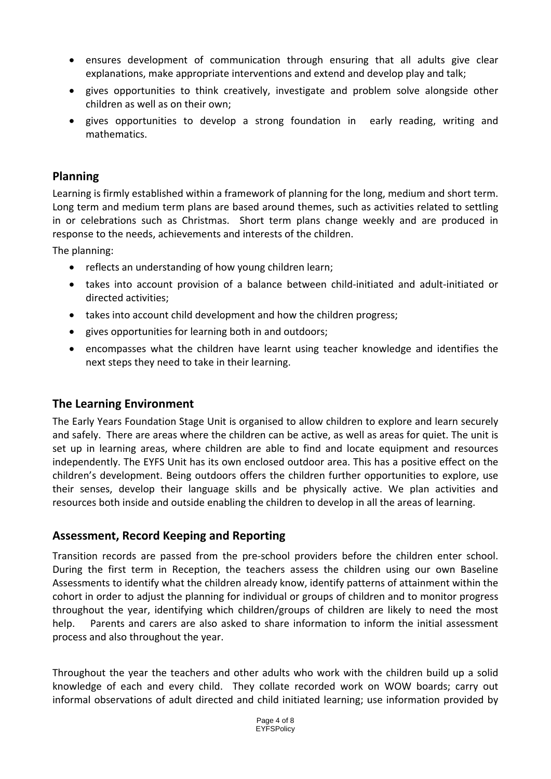- ensures development of communication through ensuring that all adults give clear explanations, make appropriate interventions and extend and develop play and talk;
- gives opportunities to think creatively, investigate and problem solve alongside other children as well as on their own;
- gives opportunities to develop a strong foundation in early reading, writing and mathematics.

# **Planning**

Learning is firmly established within a framework of planning for the long, medium and short term. Long term and medium term plans are based around themes, such as activities related to settling in or celebrations such as Christmas. Short term plans change weekly and are produced in response to the needs, achievements and interests of the children.

The planning:

- reflects an understanding of how young children learn;
- takes into account provision of a balance between child‐initiated and adult‐initiated or directed activities;
- takes into account child development and how the children progress;
- gives opportunities for learning both in and outdoors;
- encompasses what the children have learnt using teacher knowledge and identifies the next steps they need to take in their learning.

## **The Learning Environment**

The Early Years Foundation Stage Unit is organised to allow children to explore and learn securely and safely. There are areas where the children can be active, as well as areas for quiet. The unit is set up in learning areas, where children are able to find and locate equipment and resources independently. The EYFS Unit has its own enclosed outdoor area. This has a positive effect on the children's development. Being outdoors offers the children further opportunities to explore, use their senses, develop their language skills and be physically active. We plan activities and resources both inside and outside enabling the children to develop in all the areas of learning.

## **Assessment, Record Keeping and Reporting**

Transition records are passed from the pre‐school providers before the children enter school. During the first term in Reception, the teachers assess the children using our own Baseline Assessments to identify what the children already know, identify patterns of attainment within the cohort in order to adjust the planning for individual or groups of children and to monitor progress throughout the year, identifying which children/groups of children are likely to need the most help. Parents and carers are also asked to share information to inform the initial assessment process and also throughout the year.

Throughout the year the teachers and other adults who work with the children build up a solid knowledge of each and every child. They collate recorded work on WOW boards; carry out informal observations of adult directed and child initiated learning; use information provided by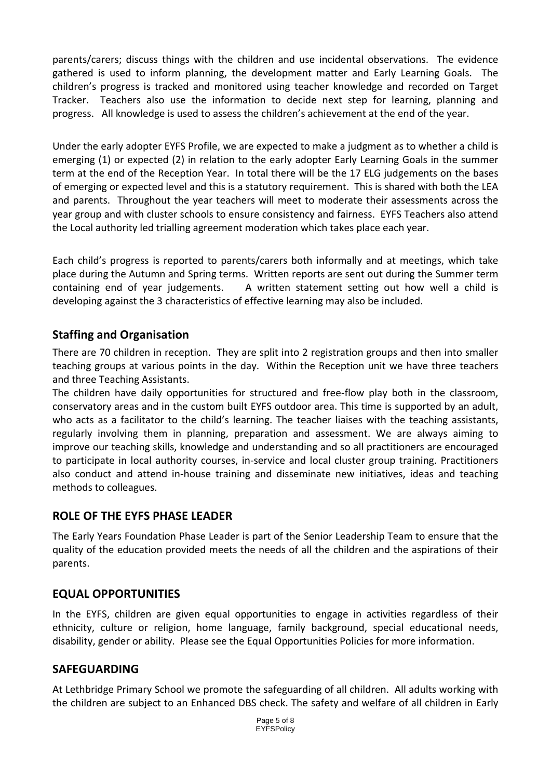parents/carers; discuss things with the children and use incidental observations. The evidence gathered is used to inform planning, the development matter and Early Learning Goals. The children's progress is tracked and monitored using teacher knowledge and recorded on Target Tracker. Teachers also use the information to decide next step for learning, planning and progress. All knowledge is used to assess the children's achievement at the end of the year.

Under the early adopter EYFS Profile, we are expected to make a judgment as to whether a child is emerging (1) or expected (2) in relation to the early adopter Early Learning Goals in the summer term at the end of the Reception Year. In total there will be the 17 ELG judgements on the bases of emerging or expected level and this is a statutory requirement. This is shared with both the LEA and parents. Throughout the year teachers will meet to moderate their assessments across the year group and with cluster schools to ensure consistency and fairness. EYFS Teachers also attend the Local authority led trialling agreement moderation which takes place each year.

Each child's progress is reported to parents/carers both informally and at meetings, which take place during the Autumn and Spring terms. Written reports are sent out during the Summer term containing end of year judgements. A written statement setting out how well a child is developing against the 3 characteristics of effective learning may also be included.

## **Staffing and Organisation**

There are 70 children in reception. They are split into 2 registration groups and then into smaller teaching groups at various points in the day. Within the Reception unit we have three teachers and three Teaching Assistants.

The children have daily opportunities for structured and free-flow play both in the classroom, conservatory areas and in the custom built EYFS outdoor area. This time is supported by an adult, who acts as a facilitator to the child's learning. The teacher liaises with the teaching assistants, regularly involving them in planning, preparation and assessment. We are always aiming to improve our teaching skills, knowledge and understanding and so all practitioners are encouraged to participate in local authority courses, in‐service and local cluster group training. Practitioners also conduct and attend in‐house training and disseminate new initiatives, ideas and teaching methods to colleagues.

## **ROLE OF THE EYFS PHASE LEADER**

The Early Years Foundation Phase Leader is part of the Senior Leadership Team to ensure that the quality of the education provided meets the needs of all the children and the aspirations of their parents.

# **EQUAL OPPORTUNITIES**

In the EYFS, children are given equal opportunities to engage in activities regardless of their ethnicity, culture or religion, home language, family background, special educational needs, disability, gender or ability. Please see the Equal Opportunities Policies for more information.

## **SAFEGUARDING**

At Lethbridge Primary School we promote the safeguarding of all children. All adults working with the children are subject to an Enhanced DBS check. The safety and welfare of all children in Early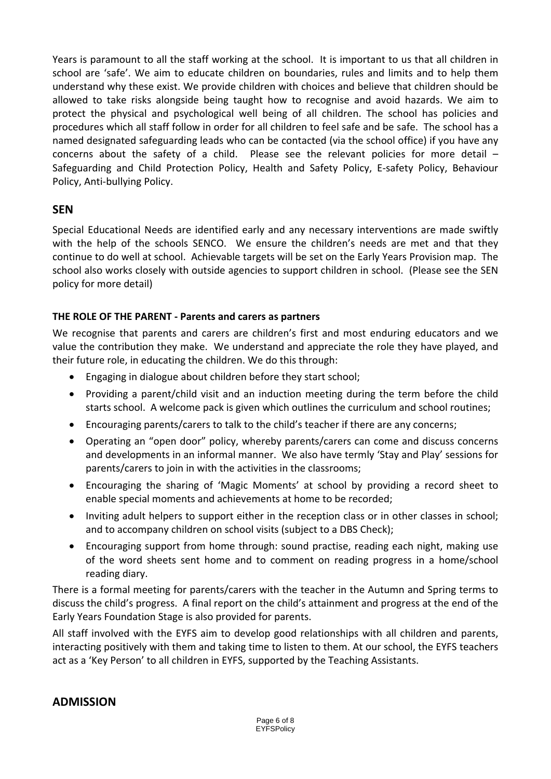Years is paramount to all the staff working at the school. It is important to us that all children in school are 'safe'. We aim to educate children on boundaries, rules and limits and to help them understand why these exist. We provide children with choices and believe that children should be allowed to take risks alongside being taught how to recognise and avoid hazards. We aim to protect the physical and psychological well being of all children. The school has policies and procedures which all staff follow in order for all children to feel safe and be safe. The school has a named designated safeguarding leads who can be contacted (via the school office) if you have any concerns about the safety of a child. Please see the relevant policies for more detail -Safeguarding and Child Protection Policy, Health and Safety Policy, E‐safety Policy, Behaviour Policy, Anti‐bullying Policy.

## **SEN**

Special Educational Needs are identified early and any necessary interventions are made swiftly with the help of the schools SENCO. We ensure the children's needs are met and that they continue to do well at school. Achievable targets will be set on the Early Years Provision map. The school also works closely with outside agencies to support children in school. (Please see the SEN policy for more detail)

#### **THE ROLE OF THE PARENT ‐ Parents and carers as partners**

We recognise that parents and carers are children's first and most enduring educators and we value the contribution they make. We understand and appreciate the role they have played, and their future role, in educating the children. We do this through:

- Engaging in dialogue about children before they start school;
- Providing a parent/child visit and an induction meeting during the term before the child starts school. A welcome pack is given which outlines the curriculum and school routines;
- Encouraging parents/carers to talk to the child's teacher if there are any concerns;
- Operating an "open door" policy, whereby parents/carers can come and discuss concerns and developments in an informal manner. We also have termly 'Stay and Play' sessions for parents/carers to join in with the activities in the classrooms;
- Encouraging the sharing of 'Magic Moments' at school by providing a record sheet to enable special moments and achievements at home to be recorded;
- Inviting adult helpers to support either in the reception class or in other classes in school; and to accompany children on school visits (subject to a DBS Check);
- Encouraging support from home through: sound practise, reading each night, making use of the word sheets sent home and to comment on reading progress in a home/school reading diary.

There is a formal meeting for parents/carers with the teacher in the Autumn and Spring terms to discuss the child's progress. A final report on the child's attainment and progress at the end of the Early Years Foundation Stage is also provided for parents.

All staff involved with the EYFS aim to develop good relationships with all children and parents, interacting positively with them and taking time to listen to them. At our school, the EYFS teachers act as a 'Key Person' to all children in EYFS, supported by the Teaching Assistants.

## **ADMISSION**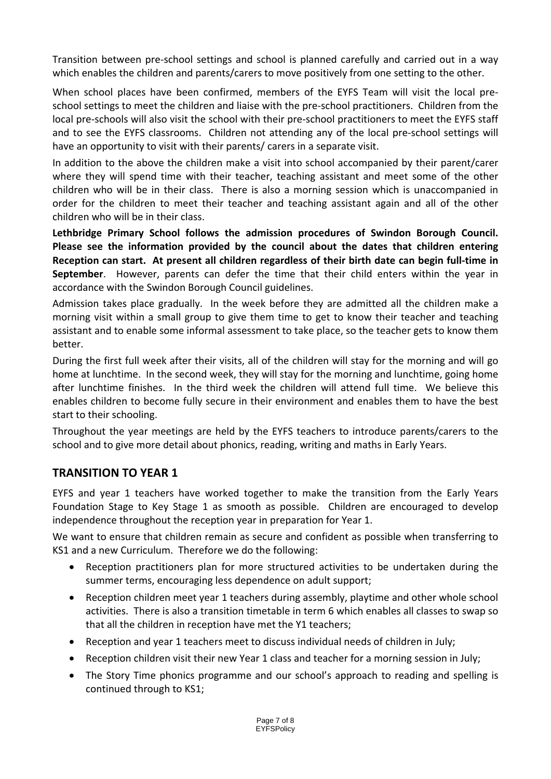Transition between pre‐school settings and school is planned carefully and carried out in a way which enables the children and parents/carers to move positively from one setting to the other.

When school places have been confirmed, members of the EYFS Team will visit the local preschool settings to meet the children and liaise with the pre‐school practitioners. Children from the local pre‐schools will also visit the school with their pre‐school practitioners to meet the EYFS staff and to see the EYFS classrooms. Children not attending any of the local pre‐school settings will have an opportunity to visit with their parents/ carers in a separate visit.

In addition to the above the children make a visit into school accompanied by their parent/carer where they will spend time with their teacher, teaching assistant and meet some of the other children who will be in their class. There is also a morning session which is unaccompanied in order for the children to meet their teacher and teaching assistant again and all of the other children who will be in their class.

**Lethbridge Primary School follows the admission procedures of Swindon Borough Council. Please see the information provided by the council about the dates that children entering** Reception can start. At present all children regardless of their birth date can begin full-time in **September.** However, parents can defer the time that their child enters within the year in accordance with the Swindon Borough Council guidelines.

Admission takes place gradually. In the week before they are admitted all the children make a morning visit within a small group to give them time to get to know their teacher and teaching assistant and to enable some informal assessment to take place, so the teacher gets to know them better.

During the first full week after their visits, all of the children will stay for the morning and will go home at lunchtime. In the second week, they will stay for the morning and lunchtime, going home after lunchtime finishes. In the third week the children will attend full time. We believe this enables children to become fully secure in their environment and enables them to have the best start to their schooling.

Throughout the year meetings are held by the EYFS teachers to introduce parents/carers to the school and to give more detail about phonics, reading, writing and maths in Early Years.

# **TRANSITION TO YEAR 1**

EYFS and year 1 teachers have worked together to make the transition from the Early Years Foundation Stage to Key Stage 1 as smooth as possible. Children are encouraged to develop independence throughout the reception year in preparation for Year 1.

We want to ensure that children remain as secure and confident as possible when transferring to KS1 and a new Curriculum. Therefore we do the following:

- Reception practitioners plan for more structured activities to be undertaken during the summer terms, encouraging less dependence on adult support;
- Reception children meet year 1 teachers during assembly, playtime and other whole school activities. There is also a transition timetable in term 6 which enables all classes to swap so that all the children in reception have met the Y1 teachers;
- Reception and year 1 teachers meet to discuss individual needs of children in July;
- Reception children visit their new Year 1 class and teacher for a morning session in July;
- The Story Time phonics programme and our school's approach to reading and spelling is continued through to KS1;